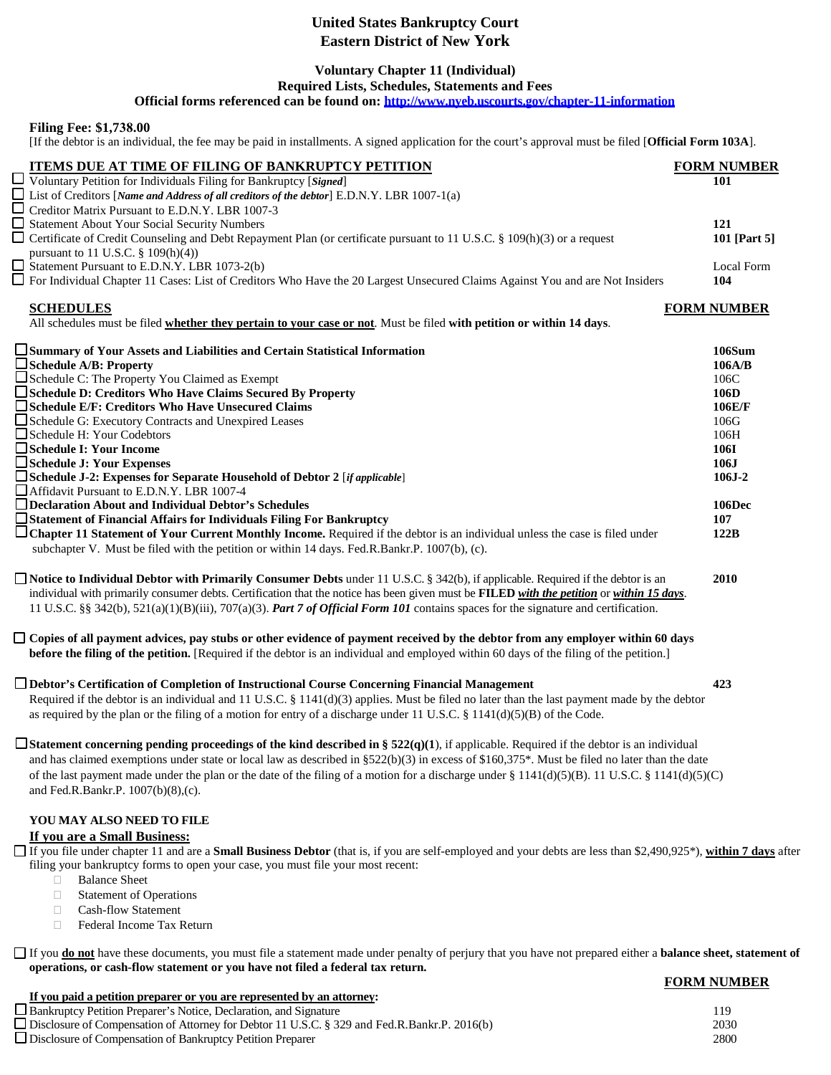# **United States Bankruptcy Court Eastern District of New York**

## **Voluntary Chapter 11 (Individual)**

**Required Lists, Schedules, Statements and Fees**

**Official forms referenced can be found on:<http://www.nyeb.uscourts.gov/chapter-11-information>**

### **Filing Fee: \$1,738.00**

[If the debtor is an individual, the fee may be paid in installments. A signed application for the court's approval must be filed [**Official Form 103A**].

| <b>ITEMS DUE AT TIME OF FILING OF BANKRUPTCY PETITION</b><br>Voluntary Petition for Individuals Filing for Bankruptcy [Signed]                                                                                                                                                                                                                                                                                                                                                     | <b>FORM NUMBER</b><br>101 |
|------------------------------------------------------------------------------------------------------------------------------------------------------------------------------------------------------------------------------------------------------------------------------------------------------------------------------------------------------------------------------------------------------------------------------------------------------------------------------------|---------------------------|
| $\Box$ List of Creditors [Name and Address of all creditors of the debtor] E.D.N.Y. LBR 1007-1(a)<br>Creditor Matrix Pursuant to E.D.N.Y. LBR 1007-3                                                                                                                                                                                                                                                                                                                               |                           |
| Statement About Your Social Security Numbers                                                                                                                                                                                                                                                                                                                                                                                                                                       | 121                       |
| Certificate of Credit Counseling and Debt Repayment Plan (or certificate pursuant to 11 U.S.C. § 109(h)(3) or a request<br>pursuant to 11 U.S.C. § 109(h)(4))                                                                                                                                                                                                                                                                                                                      | 101 [Part 5]              |
| Statement Pursuant to E.D.N.Y. LBR 1073-2(b)<br>□ For Individual Chapter 11 Cases: List of Creditors Who Have the 20 Largest Unsecured Claims Against You and are Not Insiders                                                                                                                                                                                                                                                                                                     | Local Form<br>104         |
|                                                                                                                                                                                                                                                                                                                                                                                                                                                                                    |                           |
| <b>SCHEDULES</b><br>All schedules must be filed whether they pertain to your case or not. Must be filed with petition or within 14 days.                                                                                                                                                                                                                                                                                                                                           | <b>FORM NUMBER</b>        |
| □ Summary of Your Assets and Liabilities and Certain Statistical Information                                                                                                                                                                                                                                                                                                                                                                                                       | 106Sum                    |
| Schedule A/B: Property                                                                                                                                                                                                                                                                                                                                                                                                                                                             | 106A/B                    |
| Schedule C: The Property You Claimed as Exempt<br>□ Schedule D: Creditors Who Have Claims Secured By Property                                                                                                                                                                                                                                                                                                                                                                      | 106C<br>106D              |
| □ Schedule E/F: Creditors Who Have Unsecured Claims                                                                                                                                                                                                                                                                                                                                                                                                                                | 106E/F                    |
| Schedule G: Executory Contracts and Unexpired Leases                                                                                                                                                                                                                                                                                                                                                                                                                               | 106G                      |
| Schedule H: Your Codebtors                                                                                                                                                                                                                                                                                                                                                                                                                                                         | 106H                      |
| Schedule I: Your Income                                                                                                                                                                                                                                                                                                                                                                                                                                                            | <b>106I</b>               |
| Schedule J: Your Expenses                                                                                                                                                                                                                                                                                                                                                                                                                                                          | 106J                      |
| □ Schedule J-2: Expenses for Separate Household of Debtor 2 [if applicable]<br>Affidavit Pursuant to E.D.N.Y. LBR 1007-4                                                                                                                                                                                                                                                                                                                                                           | $106J-2$                  |
| □ Declaration About and Individual Debtor's Schedules                                                                                                                                                                                                                                                                                                                                                                                                                              | 106Dec                    |
| □ Statement of Financial Affairs for Individuals Filing For Bankruptcy                                                                                                                                                                                                                                                                                                                                                                                                             | 107                       |
| □ Chapter 11 Statement of Your Current Monthly Income. Required if the debtor is an individual unless the case is filed under<br>subchapter V. Must be filed with the petition or within 14 days. Fed.R.Bankr.P. 1007(b), (c).                                                                                                                                                                                                                                                     | 122B                      |
| $\Box$ Notice to Individual Debtor with Primarily Consumer Debts under 11 U.S.C. § 342(b), if applicable. Required if the debtor is an<br>individual with primarily consumer debts. Certification that the notice has been given must be FILED with the petition or within 15 days.<br>11 U.S.C. §§ 342(b), 521(a)(1)(B)(iii), 707(a)(3). Part 7 of Official Form 101 contains spaces for the signature and certification.                                                         | 2010                      |
| □ Copies of all payment advices, pay stubs or other evidence of payment received by the debtor from any employer within 60 days<br><b>before the filing of the petition.</b> [Required if the debtor is an individual and employed within 60 days of the filing of the petition.]                                                                                                                                                                                                  |                           |
| □ Debtor's Certification of Completion of Instructional Course Concerning Financial Management<br>Required if the debtor is an individual and 11 U.S.C. $\S$ 1141(d)(3) applies. Must be filed no later than the last payment made by the debtor<br>as required by the plan or the filing of a motion for entry of a discharge under 11 U.S.C. § 1141(d)(5)(B) of the Code.                                                                                                        | 423                       |
| □ Statement concerning pending proceedings of the kind described in § $522(q)(1)$ , if applicable. Required if the debtor is an individual<br>and has claimed exemptions under state or local law as described in §522(b)(3) in excess of \$160,375*. Must be filed no later than the date<br>of the last payment made under the plan or the date of the filing of a motion for a discharge under § 1141(d)(5)(B). 11 U.S.C. § 1141(d)(5)(C)<br>and Fed.R.Bankr.P. 1007(b)(8),(c). |                           |
| YOU MAY ALSO NEED TO FILE                                                                                                                                                                                                                                                                                                                                                                                                                                                          |                           |
| If you are a Small Business:                                                                                                                                                                                                                                                                                                                                                                                                                                                       |                           |
| □ If you file under chapter 11 and are a Small Business Debtor (that is, if you are self-employed and your debts are less than \$2,490,925*), within 7 days after<br>filing your bankruptcy forms to open your case, you must file your most recent:                                                                                                                                                                                                                               |                           |
| <b>Balance Sheet</b><br>Π.                                                                                                                                                                                                                                                                                                                                                                                                                                                         |                           |
| <b>Statement of Operations</b><br>$\Box$<br><b>Cash-flow Statement</b><br>$\Box$                                                                                                                                                                                                                                                                                                                                                                                                   |                           |
| Federal Income Tax Return<br>$\Box$                                                                                                                                                                                                                                                                                                                                                                                                                                                |                           |
| If you <b>do not</b> have these documents, you must file a statement made under penalty of perjury that you have not prepared either a <b>balance sheet, statement of</b>                                                                                                                                                                                                                                                                                                          |                           |
| operations, or cash-flow statement or you have not filed a federal tax return.                                                                                                                                                                                                                                                                                                                                                                                                     | <b>FORM NUMBER</b>        |
| If you paid a petition preparer or you are represented by an attorney:                                                                                                                                                                                                                                                                                                                                                                                                             |                           |
| □ Bankruptcy Petition Preparer's Notice, Declaration, and Signature                                                                                                                                                                                                                                                                                                                                                                                                                | 119                       |
| □ Disclosure of Compensation of Attorney for Debtor 11 U.S.C. § 329 and Fed.R.Bankr.P. 2016(b)<br>□ Disclosure of Compensation of Bankruptcy Petition Preparer                                                                                                                                                                                                                                                                                                                     | 2030<br>2800              |
|                                                                                                                                                                                                                                                                                                                                                                                                                                                                                    |                           |